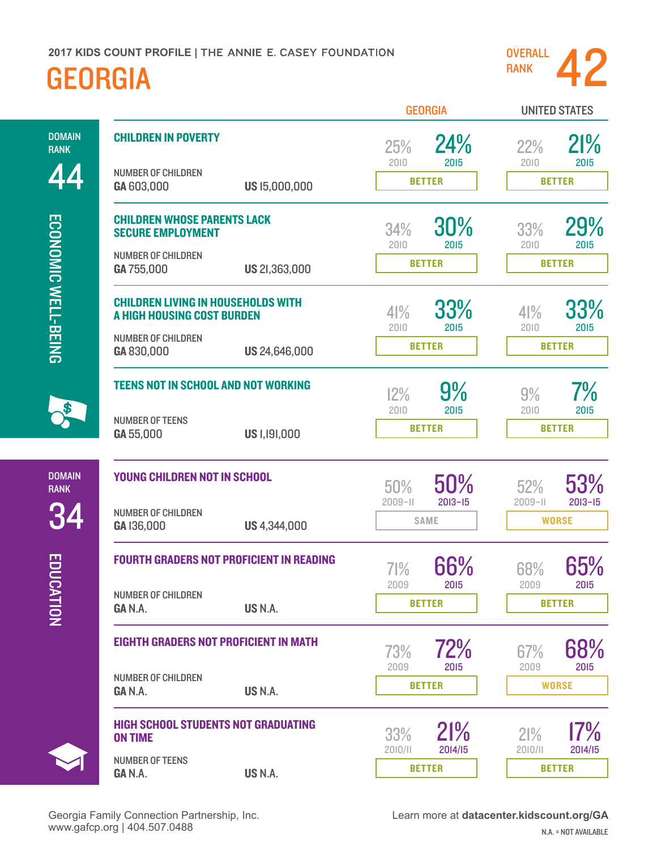

UNITED STATES

GEORGIA

44 ECONOMIC WELL-BEING [ECONOMIC WELL-BEING](http://datacenter.kidscount.org/data#USA/2/16/17,18,19,20,22,21,2720/char/0)

DOMAIN RANK

[EDUCATION](http://datacenter.kidscount.org/data#USA/2/8/10,11,12,13,15,14,2719/char/0)

EDUCATION

DOMAIN RANK

34

| <b>CHILDREN IN POVERTY</b>                                              |               | 25%<br>2010        | 24%<br>2015        | 22%<br>2010        | 21%<br>2015        |  |
|-------------------------------------------------------------------------|---------------|--------------------|--------------------|--------------------|--------------------|--|
| <b>NUMBER OF CHILDREN</b><br>GA 603,000                                 | US 15,000,000 | <b>BETTER</b>      |                    | <b>BETTER</b>      |                    |  |
| <b>CHILDREN WHOSE PARENTS LACK</b><br><b>SECURE EMPLOYMENT</b>          |               | 34%<br>2010        | 30%<br>2015        | 33%<br>2010        | 29%<br>2015        |  |
| <b>NUMBER OF CHILDREN</b><br>GA 755,000                                 | US 21,363,000 |                    | <b>BETTER</b>      | <b>BETTER</b>      |                    |  |
| <b>CHILDREN LIVING IN HOUSEHOLDS WITH</b><br>A HIGH HOUSING COST BURDEN |               | 41%<br>2010        | 33%<br>2015        | 41%<br>2010        | 33%<br>2015        |  |
| <b>NUMBER OF CHILDREN</b><br>GA 830,000                                 | US 24,646,000 |                    | <b>BETTER</b>      | <b>BETTER</b>      |                    |  |
| <b>TEENS NOT IN SCHOOL AND NOT WORKING</b>                              |               | 12%<br>2010        | 9%<br>2015         | 9%<br>2010         | $7\%$<br>2015      |  |
| <b>NUMBER OF TEENS</b><br>GA 55,000                                     | US 1,191,000  |                    | <b>BETTER</b>      |                    | <b>BETTER</b>      |  |
| <b>YOUNG CHILDREN NOT IN SCHOOL</b>                                     |               | 50%<br>$2009 - 11$ | 50%<br>$2013 - 15$ | 52%<br>$2009 - 11$ | 53%<br>$2013 - 15$ |  |
| <b>NUMBER OF CHILDREN</b><br>GA 136,000                                 | US 4,344,000  |                    | <b>SAME</b>        | <b>WORSE</b>       |                    |  |
| <b>FOURTH GRADERS NOT PROFICIENT IN READING</b>                         |               | 71%<br>2009        | 66%<br>2015        | 68%<br>2009        | 65%<br>2015        |  |
| <b>NUMBER OF CHILDREN</b><br>GAN.A.                                     | US N.A.       |                    | <b>BETTER</b>      |                    | <b>BETTER</b>      |  |
| <b>EIGHTH GRADERS NOT PROFICIENT IN MATH</b>                            |               | 73%<br>2009        | 72%<br>2015        | $67\%$<br>2009     | 68%<br>2015        |  |
| <b>NUMBER OF CHILDREN</b><br>GAN.A.                                     | US N.A.       |                    | <b>BETTER</b>      |                    | <b>WORSE</b>       |  |
| <b>HIGH SCHOOL STUDENTS NOT GRADUATING</b><br><b>ON TIME</b>            |               | 33%<br>2010/11     | 21%<br>2014/15     | 21%<br>2010/11     | 17%<br>2014/15     |  |
| <b>NUMBER OF TEENS</b><br>GAN.A.                                        | US N.A.       |                    | <b>BETTER</b>      |                    | <b>BETTER</b>      |  |